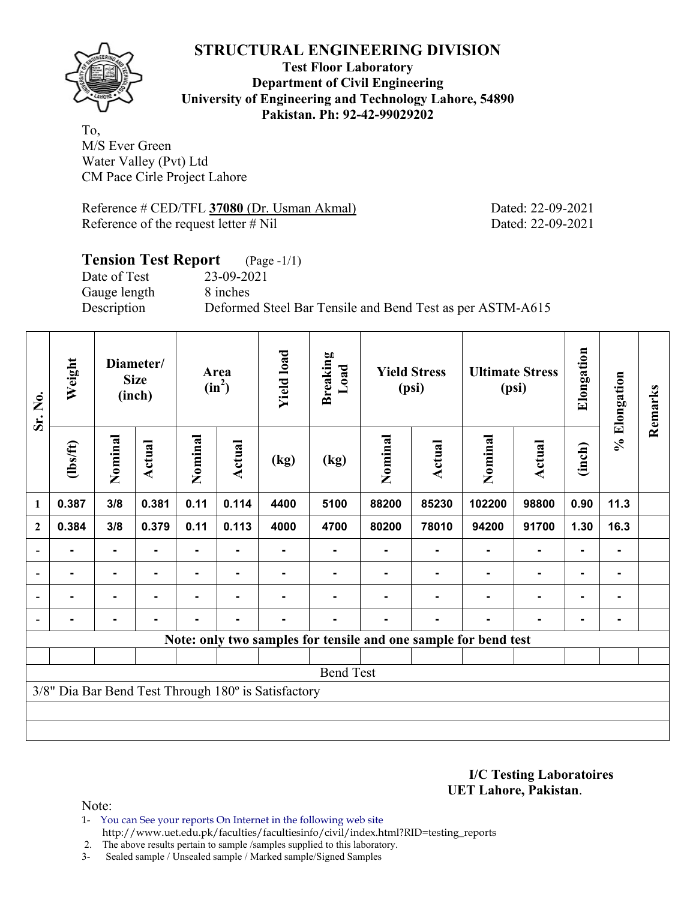

**Test Floor Laboratory Department of Civil Engineering University of Engineering and Technology Lahore, 54890 Pakistan. Ph: 92-42-99029202** 

To, M/S Ever Green Water Valley (Pvt) Ltd CM Pace Cirle Project Lahore

Reference # CED/TFL **37080** (Dr. Usman Akmal) Dated: 22-09-2021 Reference of the request letter # Nil Dated: 22-09-2021

## **Tension Test Report** (Page -1/1) Date of Test 23-09-2021 Gauge length 8 inches Description Deformed Steel Bar Tensile and Bend Test as per ASTM-A615

| Sr. No.      | Weight         |                | Diameter/<br><b>Size</b><br>(inch) |         | Area<br>$(in^2)$ | <b>Yield load</b>                                   | <b>Breaking</b><br>Load |         | <b>Yield Stress</b><br>(psi) |                                                                 | <b>Ultimate Stress</b><br>(psi) | Elongation     | % Elongation   | Remarks |
|--------------|----------------|----------------|------------------------------------|---------|------------------|-----------------------------------------------------|-------------------------|---------|------------------------------|-----------------------------------------------------------------|---------------------------------|----------------|----------------|---------|
|              | $\frac{2}{10}$ | Nominal        | <b>Actual</b>                      | Nominal | Actual           | (kg)                                                | (kg)                    | Nominal | Actual                       | Nominal                                                         | <b>Actual</b>                   | (inch)         |                |         |
| $\mathbf{1}$ | 0.387          | 3/8            | 0.381                              | 0.11    | 0.114            | 4400                                                | 5100                    | 88200   | 85230                        | 102200                                                          | 98800                           | 0.90           | 11.3           |         |
| $\mathbf{2}$ | 0.384          | 3/8            | 0.379                              | 0.11    | 0.113            | 4000                                                | 4700                    | 80200   | 78010                        | 94200                                                           | 91700                           | 1.30           | 16.3           |         |
|              |                |                |                                    |         |                  |                                                     |                         |         |                              |                                                                 | $\blacksquare$                  | ۰              |                |         |
|              |                |                |                                    |         |                  |                                                     |                         |         |                              |                                                                 |                                 | ۰              |                |         |
|              |                | $\blacksquare$ |                                    |         |                  |                                                     |                         |         |                              |                                                                 | $\blacksquare$                  | $\blacksquare$ | $\blacksquare$ |         |
|              | $\blacksquare$ | $\blacksquare$ | ۰                                  | Ξ.      | $\blacksquare$   | $\blacksquare$                                      |                         |         | $\blacksquare$               |                                                                 | $\blacksquare$                  | ۰              |                |         |
|              |                |                |                                    |         |                  |                                                     |                         |         |                              | Note: only two samples for tensile and one sample for bend test |                                 |                |                |         |
|              |                |                |                                    |         |                  |                                                     |                         |         |                              |                                                                 |                                 |                |                |         |
|              |                |                |                                    |         |                  |                                                     | <b>Bend Test</b>        |         |                              |                                                                 |                                 |                |                |         |
|              |                |                |                                    |         |                  | 3/8" Dia Bar Bend Test Through 180° is Satisfactory |                         |         |                              |                                                                 |                                 |                |                |         |
|              |                |                |                                    |         |                  |                                                     |                         |         |                              |                                                                 |                                 |                |                |         |
|              |                |                |                                    |         |                  |                                                     |                         |         |                              |                                                                 |                                 |                |                |         |

**I/C Testing Laboratoires UET Lahore, Pakistan**.

- 1- You can See your reports On Internet in the following web site http://www.uet.edu.pk/faculties/facultiesinfo/civil/index.html?RID=testing\_reports
- 2. The above results pertain to sample /samples supplied to this laboratory.
- 3- Sealed sample / Unsealed sample / Marked sample/Signed Samples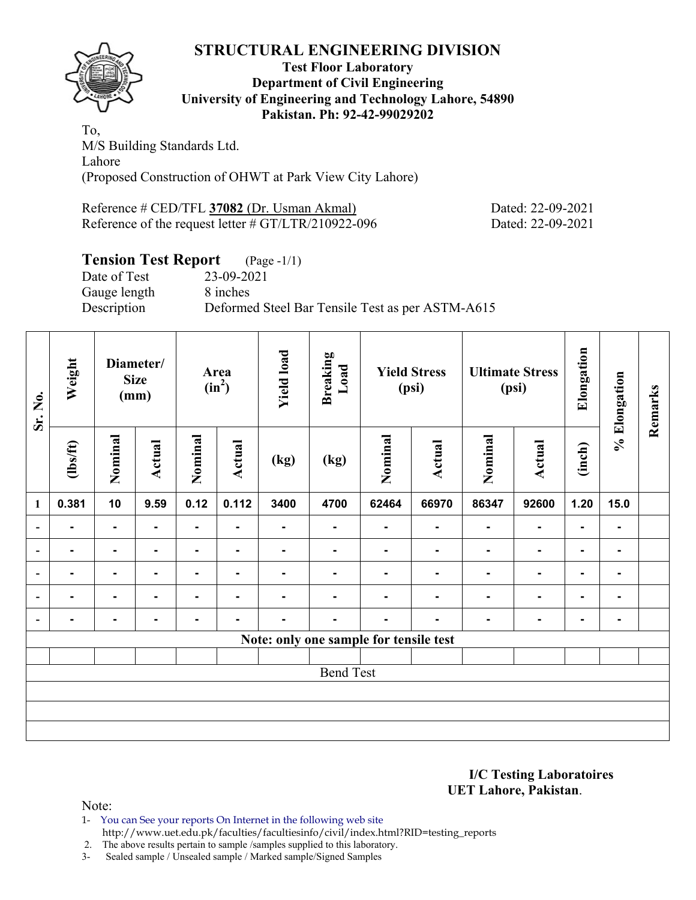

#### **Test Floor Laboratory Department of Civil Engineering University of Engineering and Technology Lahore, 54890 Pakistan. Ph: 92-42-99029202**

To, M/S Building Standards Ltd. Lahore (Proposed Construction of OHWT at Park View City Lahore)

Reference # CED/TFL **37082** (Dr. Usman Akmal) Dated: 22-09-2021 Reference of the request letter # GT/LTR/210922-096 Dated: 22-09-2021

# **Tension Test Report** (Page -1/1)

Date of Test 23-09-2021 Gauge length 8 inches

Description Deformed Steel Bar Tensile Test as per ASTM-A615

| Sr. No.                  | Weight         |                | Diameter/<br><b>Size</b><br>(mm) |         | Area<br>$(in^2)$ | <b>Yield load</b> | <b>Breaking</b><br>Load                |         | <b>Yield Stress</b><br>(psi) |                | <b>Ultimate Stress</b><br>(psi) | Elongation     | % Elongation   | Remarks |
|--------------------------|----------------|----------------|----------------------------------|---------|------------------|-------------------|----------------------------------------|---------|------------------------------|----------------|---------------------------------|----------------|----------------|---------|
|                          | $\frac{2}{10}$ | Nominal        | Actual                           | Nominal | Actual           | (kg)              | (kg)                                   | Nominal | <b>Actual</b>                | Nominal        | Actual                          | (inch)         |                |         |
| $\mathbf{1}$             | 0.381          | 10             | 9.59                             | 0.12    | 0.112            | 3400              | 4700                                   | 62464   | 66970                        | 86347          | 92600                           | 1.20           | 15.0           |         |
| $\blacksquare$           | $\blacksquare$ | ۰              | $\blacksquare$                   | Ξ.      |                  | ۰                 | ۰                                      | ۰       | ٠                            | ۰              | ۰                               | $\blacksquare$ |                |         |
| $\overline{\phantom{a}}$ | $\blacksquare$ | $\blacksquare$ |                                  | Ξ.      | ٠                |                   | $\blacksquare$                         |         | ٠                            | ٠              | ۰                               | $\blacksquare$ | ٠              |         |
| $\overline{\phantom{0}}$ | $\blacksquare$ | $\blacksquare$ | ۰                                | ۰       | $\blacksquare$   | $\blacksquare$    | $\blacksquare$                         |         | ٠                            | $\blacksquare$ | ۰                               | $\blacksquare$ | $\blacksquare$ |         |
|                          | $\blacksquare$ | $\blacksquare$ |                                  | ۰       | $\blacksquare$   | ۰.                | ۰                                      | -       | ۰                            | $\blacksquare$ | ۰                               | $\blacksquare$ | $\blacksquare$ |         |
| $\blacksquare$           |                | $\blacksquare$ |                                  | -       | ۰                |                   | -                                      | -       |                              | ۰              | ۰                               | $\blacksquare$ | $\blacksquare$ |         |
|                          |                |                |                                  |         |                  |                   | Note: only one sample for tensile test |         |                              |                |                                 |                |                |         |
|                          |                |                |                                  |         |                  |                   |                                        |         |                              |                |                                 |                |                |         |
|                          |                |                |                                  |         |                  |                   | <b>Bend Test</b>                       |         |                              |                |                                 |                |                |         |
|                          |                |                |                                  |         |                  |                   |                                        |         |                              |                |                                 |                |                |         |
|                          |                |                |                                  |         |                  |                   |                                        |         |                              |                |                                 |                |                |         |
|                          |                |                |                                  |         |                  |                   |                                        |         |                              |                |                                 |                |                |         |

**I/C Testing Laboratoires UET Lahore, Pakistan**.

Note:

1- You can See your reports On Internet in the following web site http://www.uet.edu.pk/faculties/facultiesinfo/civil/index.html?RID=testing\_reports

2. The above results pertain to sample /samples supplied to this laboratory.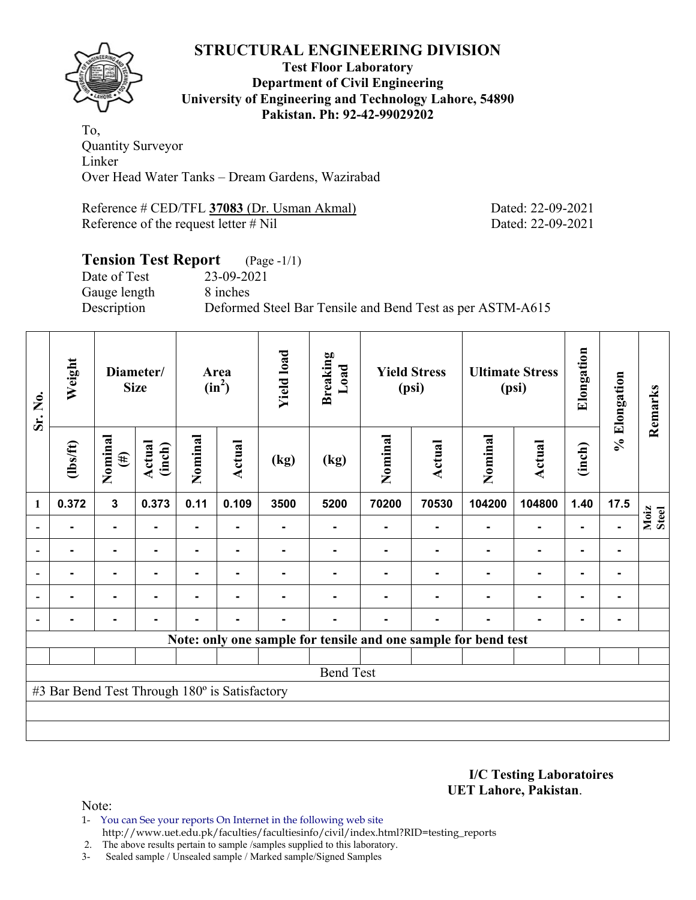**Test Floor Laboratory Department of Civil Engineering University of Engineering and Technology Lahore, 54890 Pakistan. Ph: 92-42-99029202** 

To, Quantity Surveyor Linker Over Head Water Tanks – Dream Gardens, Wazirabad

Reference # CED/TFL **37083** (Dr. Usman Akmal) Dated: 22-09-2021 Reference of the request letter # Nil Dated: 22-09-2021

#### **Tension Test Report** (Page -1/1) Date of Test 23-09-2021 Gauge length 8 inches Description Deformed Steel Bar Tensile and Bend Test as per ASTM-A615

| Sr. No.        | Weight                                        |                   | Diameter/<br><b>Size</b> |                | Area<br>$(in^2)$ | <b>Yield load</b> | <b>Breaking</b><br>Load                                        |         | <b>Yield Stress</b><br>(psi) |                          | <b>Ultimate Stress</b><br>(psi) | Elongation     | % Elongation   | Remarks       |
|----------------|-----------------------------------------------|-------------------|--------------------------|----------------|------------------|-------------------|----------------------------------------------------------------|---------|------------------------------|--------------------------|---------------------------------|----------------|----------------|---------------|
|                | $\frac{2}{10}$                                | Nominal<br>$(\#)$ | Actual<br>(inch)         | Nominal        | Actual           | (kg)              | (kg)                                                           | Nominal | Actual                       | Nominal                  | <b>Actual</b>                   | (inch)         |                |               |
| $\mathbf{1}$   | 0.372                                         | $\mathbf{3}$      | 0.373                    | 0.11           | 0.109            | 3500              | 5200                                                           | 70200   | 70530                        | 104200                   | 104800                          | 1.40           | 17.5           |               |
|                | $\blacksquare$                                | ۰                 |                          | $\blacksquare$ |                  | ۰                 | $\blacksquare$                                                 |         |                              | $\blacksquare$           | ۰                               | $\blacksquare$ | $\blacksquare$ | Moiz<br>Steel |
|                | ۰                                             | $\blacksquare$    | -                        | ۰              | $\blacksquare$   |                   |                                                                |         |                              | $\blacksquare$           | $\blacksquare$                  | $\blacksquare$ | ۰              |               |
|                |                                               | $\blacksquare$    |                          |                |                  |                   |                                                                |         |                              |                          | $\blacksquare$                  | $\blacksquare$ |                |               |
| $\blacksquare$ | $\blacksquare$                                | $\blacksquare$    | $\blacksquare$           |                | $\blacksquare$   |                   |                                                                |         |                              | $\overline{\phantom{a}}$ | $\blacksquare$                  | $\blacksquare$ | $\blacksquare$ |               |
|                |                                               | $\blacksquare$    |                          |                | ٠                |                   |                                                                |         |                              | ٠                        | ۰                               | $\blacksquare$ | $\blacksquare$ |               |
|                |                                               |                   |                          |                |                  |                   | Note: only one sample for tensile and one sample for bend test |         |                              |                          |                                 |                |                |               |
|                |                                               |                   |                          |                |                  |                   |                                                                |         |                              |                          |                                 |                |                |               |
|                |                                               |                   |                          |                |                  |                   | <b>Bend Test</b>                                               |         |                              |                          |                                 |                |                |               |
|                | #3 Bar Bend Test Through 180° is Satisfactory |                   |                          |                |                  |                   |                                                                |         |                              |                          |                                 |                |                |               |
|                |                                               |                   |                          |                |                  |                   |                                                                |         |                              |                          |                                 |                |                |               |
|                |                                               |                   |                          |                |                  |                   |                                                                |         |                              |                          |                                 |                |                |               |

**I/C Testing Laboratoires UET Lahore, Pakistan**.

Note:

1- You can See your reports On Internet in the following web site http://www.uet.edu.pk/faculties/facultiesinfo/civil/index.html?RID=testing\_reports

2. The above results pertain to sample /samples supplied to this laboratory.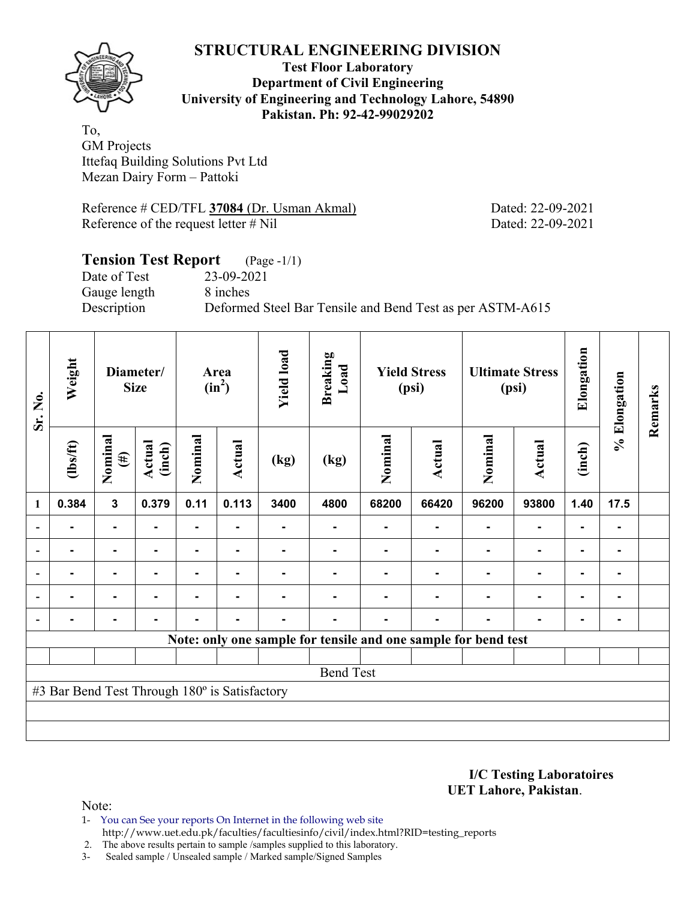

**Test Floor Laboratory Department of Civil Engineering University of Engineering and Technology Lahore, 54890 Pakistan. Ph: 92-42-99029202** 

To, GM Projects Ittefaq Building Solutions Pvt Ltd Mezan Dairy Form – Pattoki

Reference # CED/TFL **37084** (Dr. Usman Akmal) Dated: 22-09-2021 Reference of the request letter # Nil Dated: 22-09-2021

### **Tension Test Report** (Page -1/1) Date of Test 23-09-2021 Gauge length 8 inches Description Deformed Steel Bar Tensile and Bend Test as per ASTM-A615

| Sr. No.      | Weight                                        | <b>Size</b>             | Diameter/        |                | Area<br>$(in^2)$ | <b>Yield load</b> | <b>Breaking</b><br>Load                                        |         | <b>Yield Stress</b><br>(psi) |                | <b>Ultimate Stress</b><br>(psi) | Elongation     | % Elongation | Remarks |
|--------------|-----------------------------------------------|-------------------------|------------------|----------------|------------------|-------------------|----------------------------------------------------------------|---------|------------------------------|----------------|---------------------------------|----------------|--------------|---------|
|              | $\frac{2}{10}$                                | Nominal<br>$(\#)$       | Actual<br>(inch) | Nominal        | Actual           | (kg)              | (kg)                                                           | Nominal | <b>Actual</b>                | Nominal        | <b>Actual</b>                   | (inch)         |              |         |
| $\mathbf{1}$ | 0.384                                         | $\overline{\mathbf{3}}$ | 0.379            | 0.11           | 0.113            | 3400              | 4800                                                           | 68200   | 66420                        | 96200          | 93800                           | 1.40           | 17.5         |         |
|              |                                               | $\blacksquare$          |                  | $\blacksquare$ |                  |                   |                                                                |         |                              |                | $\blacksquare$                  | $\blacksquare$ |              |         |
|              |                                               | $\blacksquare$          | $\blacksquare$   | ۰              | ٠                |                   |                                                                |         |                              | $\blacksquare$ | $\blacksquare$                  | ۰              | ۰            |         |
|              |                                               | $\blacksquare$          |                  |                |                  |                   |                                                                |         |                              |                | $\blacksquare$                  | $\blacksquare$ | ۰            |         |
|              |                                               | ۰                       |                  |                |                  |                   |                                                                |         |                              |                | $\blacksquare$                  | ۰              |              |         |
|              |                                               | $\blacksquare$          |                  |                |                  |                   |                                                                |         | -                            | ٠              | $\blacksquare$                  | ۰              | ۰            |         |
|              |                                               |                         |                  |                |                  |                   | Note: only one sample for tensile and one sample for bend test |         |                              |                |                                 |                |              |         |
|              |                                               |                         |                  |                |                  |                   |                                                                |         |                              |                |                                 |                |              |         |
|              |                                               |                         |                  |                |                  |                   | <b>Bend Test</b>                                               |         |                              |                |                                 |                |              |         |
|              | #3 Bar Bend Test Through 180° is Satisfactory |                         |                  |                |                  |                   |                                                                |         |                              |                |                                 |                |              |         |
|              |                                               |                         |                  |                |                  |                   |                                                                |         |                              |                |                                 |                |              |         |
|              |                                               |                         |                  |                |                  |                   |                                                                |         |                              |                |                                 |                |              |         |

**I/C Testing Laboratoires UET Lahore, Pakistan**.

- 1- You can See your reports On Internet in the following web site http://www.uet.edu.pk/faculties/facultiesinfo/civil/index.html?RID=testing\_reports
- 2. The above results pertain to sample /samples supplied to this laboratory.
- 3- Sealed sample / Unsealed sample / Marked sample/Signed Samples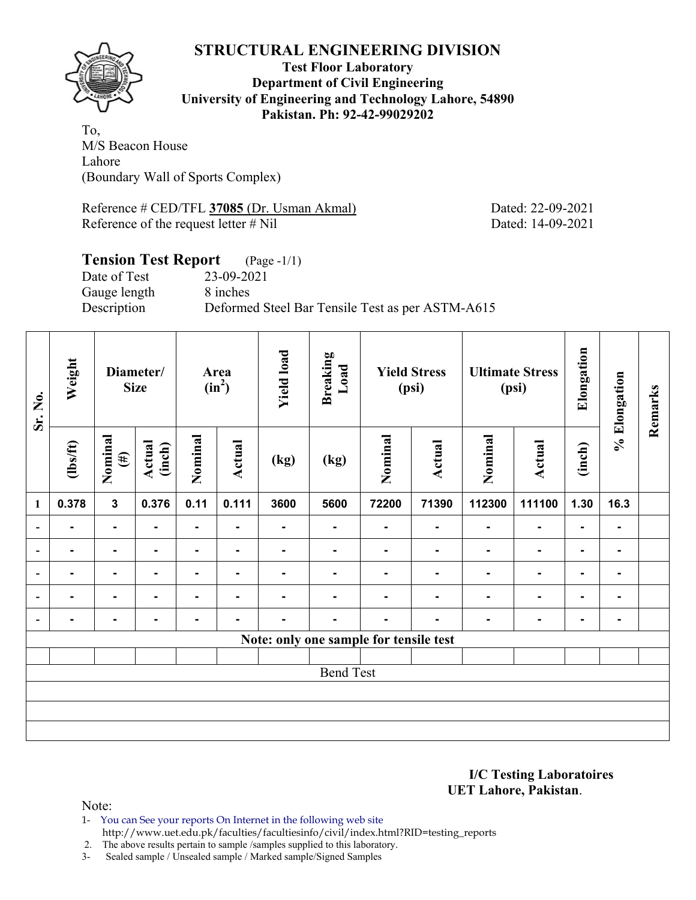

**Test Floor Laboratory Department of Civil Engineering University of Engineering and Technology Lahore, 54890 Pakistan. Ph: 92-42-99029202** 

To, M/S Beacon House Lahore (Boundary Wall of Sports Complex)

Reference # CED/TFL **37085** (Dr. Usman Akmal) Dated: 22-09-2021 Reference of the request letter # Nil Dated: 14-09-2021

### **Tension Test Report** (Page -1/1) Date of Test 23-09-2021 Gauge length 8 inches Description Deformed Steel Bar Tensile Test as per ASTM-A615

| Sr. No.                  | Weight         | Diameter/<br><b>Size</b> |                  |                | Area<br>$(in^2)$ | <b>Yield load</b> | <b>Breaking</b><br>Load                |                | <b>Yield Stress</b><br>(psi) |                | <b>Ultimate Stress</b><br>(psi) | Elongation     | % Elongation             | Remarks |
|--------------------------|----------------|--------------------------|------------------|----------------|------------------|-------------------|----------------------------------------|----------------|------------------------------|----------------|---------------------------------|----------------|--------------------------|---------|
|                          | (lbs/ft)       | Nominal<br>$(\#)$        | Actual<br>(inch) | Nominal        | Actual           | (kg)              | (kg)                                   | Nominal        | Actual                       | Nominal        | <b>Actual</b>                   | (inch)         |                          |         |
| 1                        | 0.378          | $\mathbf{3}$             | 0.376            | 0.11           | 0.111            | 3600              | 5600                                   | 72200          | 71390                        | 112300         | 111100                          | 1.30           | 16.3                     |         |
| $\overline{\phantom{a}}$ | $\blacksquare$ | ۰                        |                  | $\blacksquare$ |                  | ٠                 | $\blacksquare$                         | $\blacksquare$ |                              | $\blacksquare$ | ۰                               | $\blacksquare$ | $\blacksquare$           |         |
| $\overline{\phantom{a}}$ | $\blacksquare$ | -                        |                  |                |                  |                   |                                        |                |                              | $\blacksquare$ | $\blacksquare$                  | $\blacksquare$ |                          |         |
| $\overline{a}$           | $\blacksquare$ | ۰                        | -                | ۰              | $\blacksquare$   | $\blacksquare$    | $\blacksquare$                         | -              | ۰                            | $\blacksquare$ | ۰                               | $\blacksquare$ | ۰.                       |         |
| $\blacksquare$           | $\blacksquare$ | ۰                        | $\blacksquare$   | ۰              | $\blacksquare$   | $\blacksquare$    | ۰                                      |                | ٠                            | $\blacksquare$ | $\blacksquare$                  | $\blacksquare$ | $\blacksquare$           |         |
| $\overline{\phantom{a}}$ |                |                          |                  |                |                  |                   | ۰                                      |                |                              |                | ۰                               | $\blacksquare$ | $\overline{\phantom{a}}$ |         |
|                          |                |                          |                  |                |                  |                   | Note: only one sample for tensile test |                |                              |                |                                 |                |                          |         |
|                          |                |                          |                  |                |                  |                   |                                        |                |                              |                |                                 |                |                          |         |
|                          |                |                          |                  |                |                  |                   | <b>Bend Test</b>                       |                |                              |                |                                 |                |                          |         |
|                          |                |                          |                  |                |                  |                   |                                        |                |                              |                |                                 |                |                          |         |
|                          |                |                          |                  |                |                  |                   |                                        |                |                              |                |                                 |                |                          |         |
|                          |                |                          |                  |                |                  |                   |                                        |                |                              |                |                                 |                |                          |         |

**I/C Testing Laboratoires UET Lahore, Pakistan**.

Note:

1- You can See your reports On Internet in the following web site http://www.uet.edu.pk/faculties/facultiesinfo/civil/index.html?RID=testing\_reports

2. The above results pertain to sample /samples supplied to this laboratory.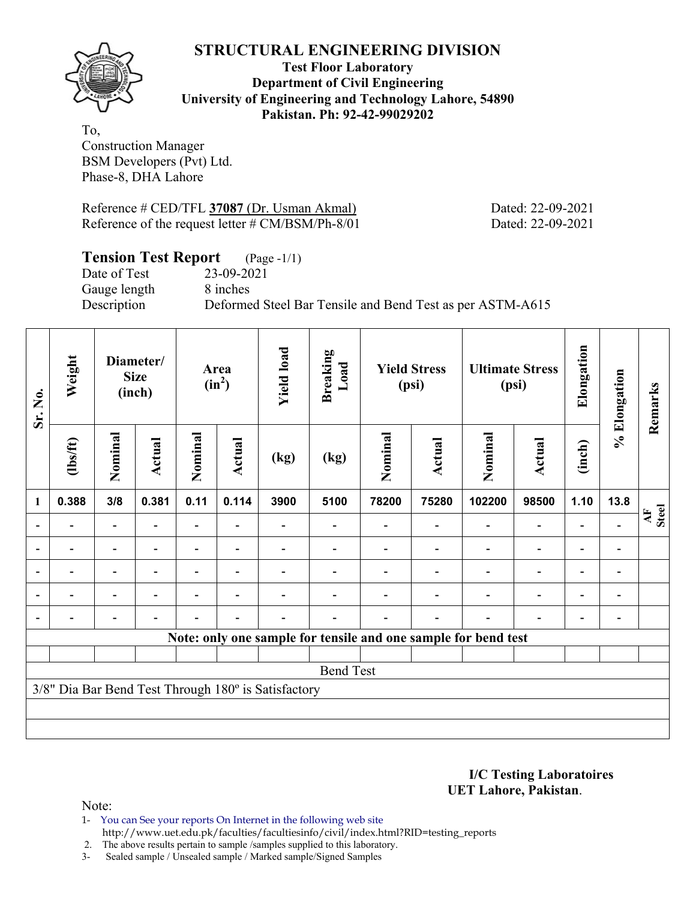

#### **Test Floor Laboratory Department of Civil Engineering University of Engineering and Technology Lahore, 54890 Pakistan. Ph: 92-42-99029202**

To, Construction Manager BSM Developers (Pvt) Ltd. Phase-8, DHA Lahore

Reference # CED/TFL **37087** (Dr. Usman Akmal) Dated: 22-09-2021 Reference of the request letter # CM/BSM/Ph-8/01 Dated: 22-09-2021

# **Tension Test Report** (Page -1/1)

Date of Test 23-09-2021 Gauge length 8 inches

Description Deformed Steel Bar Tensile and Bend Test as per ASTM-A615

| Sr. No. | Weight         |                          | Diameter/<br><b>Size</b><br>(inch) |                | Area<br>$(in^2)$         | <b>Yield load</b>                                   | <b>Breaking</b><br>Load |         | <b>Yield Stress</b><br>(psi) | <b>Ultimate Stress</b>                                         | (psi)                    | Elongation               | % Elongation                 | Remarks                         |
|---------|----------------|--------------------------|------------------------------------|----------------|--------------------------|-----------------------------------------------------|-------------------------|---------|------------------------------|----------------------------------------------------------------|--------------------------|--------------------------|------------------------------|---------------------------------|
|         | (1bs/ft)       | Nominal                  | Actual                             | Nominal        | Actual                   | (kg)                                                | (kg)                    | Nominal | Actual                       | Nominal                                                        | Actual                   | (inch)                   |                              |                                 |
| 1       | 0.388          | 3/8                      | 0.381                              | 0.11           | 0.114                    | 3900                                                | 5100                    | 78200   | 75280                        | 102200                                                         | 98500                    | 1.10                     | 13.8                         |                                 |
|         |                |                          |                                    |                |                          |                                                     |                         |         |                              |                                                                | $\overline{\phantom{0}}$ |                          |                              | $\frac{\text{AF}}{\text{Sted}}$ |
|         |                | $\overline{\phantom{0}}$ |                                    |                |                          |                                                     |                         |         |                              |                                                                | $\overline{\phantom{0}}$ | $\overline{\phantom{0}}$ | $\qquad \qquad \blacksquare$ |                                 |
|         |                | $\overline{\phantom{0}}$ |                                    |                | ۰                        |                                                     |                         |         |                              |                                                                | $\overline{\phantom{0}}$ | $\overline{\phantom{0}}$ | $\blacksquare$               |                                 |
|         | $\blacksquare$ | $\overline{\phantom{0}}$ |                                    | $\blacksquare$ | ۰                        |                                                     |                         |         |                              |                                                                | $\overline{\phantom{0}}$ | $\overline{\phantom{0}}$ |                              |                                 |
|         |                | $\overline{\phantom{0}}$ |                                    |                | $\overline{\phantom{0}}$ |                                                     |                         |         | $\overline{\phantom{0}}$     |                                                                | $\overline{\phantom{0}}$ | $\overline{\phantom{a}}$ |                              |                                 |
|         |                |                          |                                    |                |                          |                                                     |                         |         |                              | Note: only one sample for tensile and one sample for bend test |                          |                          |                              |                                 |
|         |                |                          |                                    |                |                          |                                                     |                         |         |                              |                                                                |                          |                          |                              |                                 |
|         |                |                          |                                    |                |                          |                                                     | <b>Bend Test</b>        |         |                              |                                                                |                          |                          |                              |                                 |
|         |                |                          |                                    |                |                          | 3/8" Dia Bar Bend Test Through 180° is Satisfactory |                         |         |                              |                                                                |                          |                          |                              |                                 |
|         |                |                          |                                    |                |                          |                                                     |                         |         |                              |                                                                |                          |                          |                              |                                 |
|         |                |                          |                                    |                |                          |                                                     |                         |         |                              |                                                                |                          |                          |                              |                                 |

**I/C Testing Laboratoires UET Lahore, Pakistan**.

- 1- You can See your reports On Internet in the following web site http://www.uet.edu.pk/faculties/facultiesinfo/civil/index.html?RID=testing\_reports
- 2. The above results pertain to sample /samples supplied to this laboratory.
- 3- Sealed sample / Unsealed sample / Marked sample/Signed Samples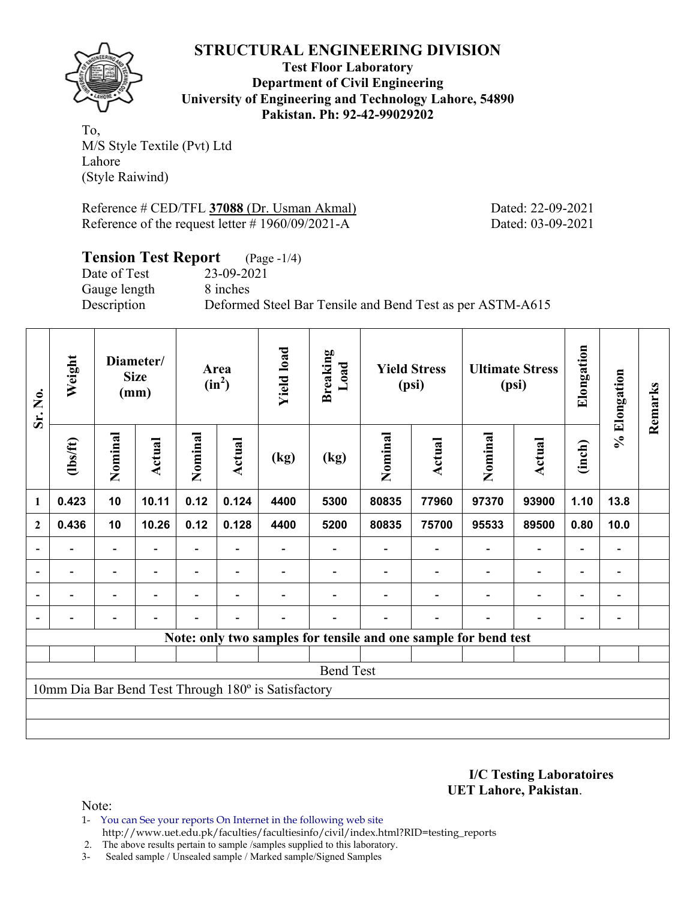

**Test Floor Laboratory Department of Civil Engineering University of Engineering and Technology Lahore, 54890 Pakistan. Ph: 92-42-99029202** 

To, M/S Style Textile (Pvt) Ltd Lahore (Style Raiwind)

Reference # CED/TFL **37088** (Dr. Usman Akmal) Dated: 22-09-2021 Reference of the request letter # 1960/09/2021-A Dated: 03-09-2021

#### **Tension Test Report** (Page -1/4)

Date of Test 23-09-2021 Gauge length 8 inches

Description Deformed Steel Bar Tensile and Bend Test as per ASTM-A615

| Sr. No.          | Weight   |                          | Diameter/<br><b>Size</b><br>(mm) |                          | Area<br>$(in^2)$         | <b>Yield load</b>                                   | <b>Breaking</b><br>Load |         | <b>Yield Stress</b><br>(psi)                                    |                | <b>Ultimate Stress</b><br>(psi) | Elongation               | % Elongation             | Remarks |
|------------------|----------|--------------------------|----------------------------------|--------------------------|--------------------------|-----------------------------------------------------|-------------------------|---------|-----------------------------------------------------------------|----------------|---------------------------------|--------------------------|--------------------------|---------|
|                  | (1bs/ft) | Nominal                  | Actual                           | Nominal                  | <b>Actual</b>            | (kg)                                                | (kg)                    | Nominal | Actual                                                          | Nominal        | Actual                          | (inch)                   |                          |         |
| $\mathbf{1}$     | 0.423    | 10                       | 10.11                            | 0.12                     | 0.124                    | 4400                                                | 5300                    | 80835   | 77960                                                           | 97370          | 93900                           | 1.10                     | 13.8                     |         |
| $\boldsymbol{2}$ | 0.436    | 10                       | 10.26                            | 0.12                     | 0.128                    | 4400                                                | 5200                    | 80835   | 75700                                                           | 95533          | 89500                           | 0.80                     | 10.0                     |         |
| $\overline{a}$   |          | Ξ.                       |                                  |                          |                          |                                                     |                         |         |                                                                 |                | $\blacksquare$                  | $\overline{\phantom{0}}$ |                          |         |
| $\blacksquare$   |          | $\overline{\phantom{a}}$ | $\overline{\phantom{a}}$         |                          | $\blacksquare$           |                                                     |                         |         |                                                                 | $\blacksquare$ | $\overline{\phantom{0}}$        | $\overline{\phantom{0}}$ | $\overline{\phantom{0}}$ |         |
|                  | Ξ.       | Ξ.                       |                                  | $\overline{\phantom{0}}$ | $\overline{\phantom{0}}$ |                                                     |                         |         |                                                                 | $\blacksquare$ | $\blacksquare$                  | $\overline{\phantom{0}}$ | $\blacksquare$           |         |
|                  |          | $\overline{\phantom{0}}$ | $\overline{\phantom{0}}$         |                          | $\blacksquare$           |                                                     |                         |         | $\overline{\phantom{0}}$                                        | $\blacksquare$ | $\overline{a}$                  | $\overline{\phantom{a}}$ |                          |         |
|                  |          |                          |                                  |                          |                          |                                                     |                         |         | Note: only two samples for tensile and one sample for bend test |                |                                 |                          |                          |         |
|                  |          |                          |                                  |                          |                          |                                                     |                         |         |                                                                 |                |                                 |                          |                          |         |
|                  |          |                          |                                  |                          |                          |                                                     | <b>Bend Test</b>        |         |                                                                 |                |                                 |                          |                          |         |
|                  |          |                          |                                  |                          |                          | 10mm Dia Bar Bend Test Through 180° is Satisfactory |                         |         |                                                                 |                |                                 |                          |                          |         |
|                  |          |                          |                                  |                          |                          |                                                     |                         |         |                                                                 |                |                                 |                          |                          |         |
|                  |          |                          |                                  |                          |                          |                                                     |                         |         |                                                                 |                |                                 |                          |                          |         |

**I/C Testing Laboratoires UET Lahore, Pakistan**.

- 1- You can See your reports On Internet in the following web site http://www.uet.edu.pk/faculties/facultiesinfo/civil/index.html?RID=testing\_reports
- 2. The above results pertain to sample /samples supplied to this laboratory.
- 3- Sealed sample / Unsealed sample / Marked sample/Signed Samples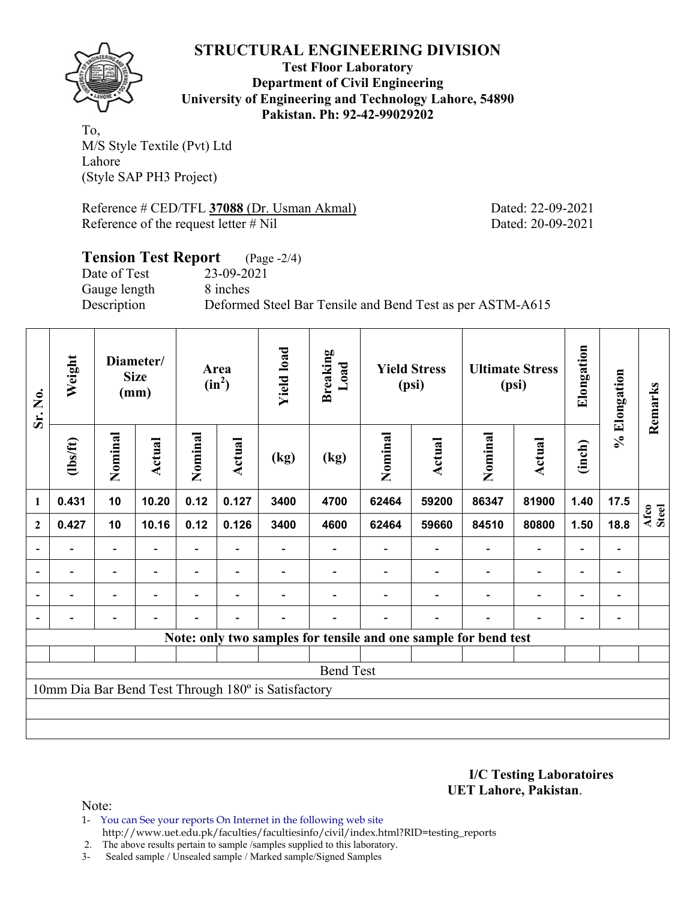

**Test Floor Laboratory Department of Civil Engineering University of Engineering and Technology Lahore, 54890 Pakistan. Ph: 92-42-99029202** 

To, M/S Style Textile (Pvt) Ltd Lahore (Style SAP PH3 Project)

Reference # CED/TFL **37088** (Dr. Usman Akmal) Dated: 22-09-2021 Reference of the request letter # Nil Dated: 20-09-2021

#### **Tension Test Report** (Page -2/4) Date of Test 23-09-2021 Gauge length 8 inches Description Deformed Steel Bar Tensile and Bend Test as per ASTM-A615

| Sr. No.                  | Weight         |                          | Diameter/<br><b>Size</b><br>(mm) |                | Area<br>$(in^2)$         | <b>Yield load</b>                                   | <b>Breaking</b><br>Load |         | <b>Yield Stress</b><br>(psi) |                                                                 | <b>Ultimate Stress</b><br>(psi) | Elongation                   | % Elongation                 | Remarks       |
|--------------------------|----------------|--------------------------|----------------------------------|----------------|--------------------------|-----------------------------------------------------|-------------------------|---------|------------------------------|-----------------------------------------------------------------|---------------------------------|------------------------------|------------------------------|---------------|
|                          | (1bs/ft)       | Nominal                  | Actual                           | Nominal        | <b>Actual</b>            | (kg)                                                | (kg)                    | Nominal | Actual                       | Nominal                                                         | <b>Actual</b>                   | (inch)                       |                              |               |
| 1                        | 0.431          | 10                       | 10.20                            | 0.12           | 0.127                    | 3400                                                | 4700                    | 62464   | 59200                        | 86347                                                           | 81900                           | 1.40                         | 17.5                         |               |
| $\mathbf{2}$             | 0.427          | 10                       | 10.16                            | 0.12           | 0.126                    | 3400                                                | 4600                    | 62464   | 59660                        | 84510                                                           | 80800                           | 1.50                         | 18.8                         | Afco<br>Steel |
|                          |                | $\overline{\phantom{0}}$ |                                  |                |                          |                                                     |                         |         |                              |                                                                 |                                 |                              |                              |               |
| $\overline{\phantom{0}}$ | -              | $\overline{\phantom{a}}$ | $\overline{\phantom{a}}$         |                | $\overline{\phantom{a}}$ |                                                     |                         |         |                              | $\blacksquare$                                                  | $\overline{a}$                  | $\qquad \qquad \blacksquare$ | $\qquad \qquad \blacksquare$ |               |
|                          | $\blacksquare$ | $\overline{\phantom{0}}$ |                                  | $\blacksquare$ | $\blacksquare$           |                                                     |                         |         |                              | ۰                                                               | $\overline{\phantom{0}}$        | $\overline{\phantom{0}}$     |                              |               |
|                          |                | Ξ.                       | $\blacksquare$                   |                | $\blacksquare$           |                                                     |                         |         | $\overline{\phantom{0}}$     |                                                                 | $\overline{a}$                  | $\overline{a}$               |                              |               |
|                          |                |                          |                                  |                |                          |                                                     |                         |         |                              | Note: only two samples for tensile and one sample for bend test |                                 |                              |                              |               |
|                          |                |                          |                                  |                |                          |                                                     |                         |         |                              |                                                                 |                                 |                              |                              |               |
|                          |                |                          |                                  |                |                          |                                                     | <b>Bend Test</b>        |         |                              |                                                                 |                                 |                              |                              |               |
|                          |                |                          |                                  |                |                          | 10mm Dia Bar Bend Test Through 180° is Satisfactory |                         |         |                              |                                                                 |                                 |                              |                              |               |
|                          |                |                          |                                  |                |                          |                                                     |                         |         |                              |                                                                 |                                 |                              |                              |               |
|                          |                |                          |                                  |                |                          |                                                     |                         |         |                              |                                                                 |                                 |                              |                              |               |

**I/C Testing Laboratoires UET Lahore, Pakistan**.

Note:

1- You can See your reports On Internet in the following web site http://www.uet.edu.pk/faculties/facultiesinfo/civil/index.html?RID=testing\_reports

2. The above results pertain to sample /samples supplied to this laboratory.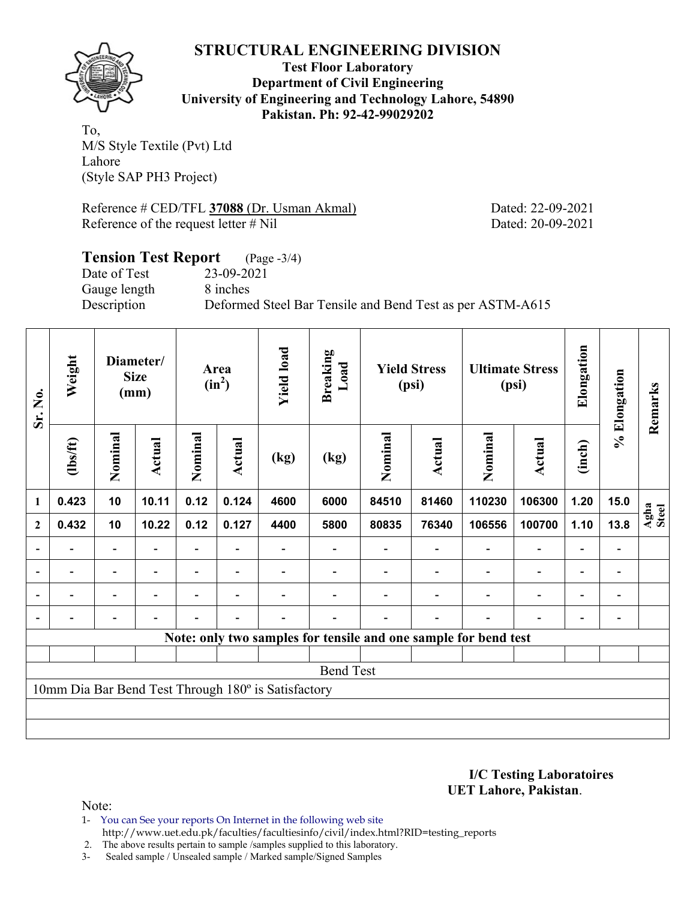

**Test Floor Laboratory Department of Civil Engineering University of Engineering and Technology Lahore, 54890 Pakistan. Ph: 92-42-99029202** 

To, M/S Style Textile (Pvt) Ltd Lahore (Style SAP PH3 Project)

Reference # CED/TFL **37088** (Dr. Usman Akmal) Dated: 22-09-2021 Reference of the request letter # Nil Dated: 20-09-2021

# **Tension Test Report** (Page -3/4) Date of Test 23-09-2021 Gauge length 8 inches Description Deformed Steel Bar Tensile and Bend Test as per ASTM-A615

| Sr. No.        | Weight         |                          | Diameter/<br><b>Size</b><br>(mm) |                | Area<br>$(in^2)$         | <b>Yield load</b>                                   | <b>Breaking</b><br>Load |         | <b>Yield Stress</b><br>(psi) |                                                                 | <b>Ultimate Stress</b><br>(psi) | Elongation               | % Elongation   | Remarks       |
|----------------|----------------|--------------------------|----------------------------------|----------------|--------------------------|-----------------------------------------------------|-------------------------|---------|------------------------------|-----------------------------------------------------------------|---------------------------------|--------------------------|----------------|---------------|
|                | (1bs/ft)       | Nominal                  | Actual                           | Nominal        | <b>Actual</b>            | (kg)                                                | (kg)                    | Nominal | Actual                       | Nominal                                                         | <b>Actual</b>                   | (inch)                   |                |               |
| 1              | 0.423          | 10                       | 10.11                            | 0.12           | 0.124                    | 4600                                                | 6000                    | 84510   | 81460                        | 110230                                                          | 106300                          | 1.20                     | 15.0           |               |
| $\mathbf{2}$   | 0.432          | 10                       | 10.22                            | 0.12           | 0.127                    | 4400                                                | 5800                    | 80835   | 76340                        | 106556                                                          | 100700                          | 1.10                     | 13.8           | Agha<br>Steel |
|                |                |                          |                                  |                |                          |                                                     |                         |         |                              |                                                                 |                                 |                          |                |               |
| $\blacksquare$ | $\blacksquare$ | $\overline{\phantom{a}}$ | $\blacksquare$                   |                | $\overline{\phantom{a}}$ |                                                     |                         |         |                              | $\blacksquare$                                                  | $\overline{a}$                  | $\overline{\phantom{0}}$ | $\blacksquare$ |               |
|                | -              | Ξ.                       |                                  | $\overline{a}$ | $\overline{\phantom{0}}$ |                                                     |                         |         |                              | $\blacksquare$                                                  | $\overline{\phantom{0}}$        | $\overline{\phantom{0}}$ |                |               |
|                |                | -                        |                                  |                | $\blacksquare$           |                                                     |                         |         |                              |                                                                 | $\overline{\phantom{0}}$        | $\overline{a}$           |                |               |
|                |                |                          |                                  |                |                          |                                                     |                         |         |                              | Note: only two samples for tensile and one sample for bend test |                                 |                          |                |               |
|                |                |                          |                                  |                |                          |                                                     |                         |         |                              |                                                                 |                                 |                          |                |               |
|                |                |                          |                                  |                |                          |                                                     | <b>Bend Test</b>        |         |                              |                                                                 |                                 |                          |                |               |
|                |                |                          |                                  |                |                          | 10mm Dia Bar Bend Test Through 180° is Satisfactory |                         |         |                              |                                                                 |                                 |                          |                |               |
|                |                |                          |                                  |                |                          |                                                     |                         |         |                              |                                                                 |                                 |                          |                |               |
|                |                |                          |                                  |                |                          |                                                     |                         |         |                              |                                                                 |                                 |                          |                |               |

**I/C Testing Laboratoires UET Lahore, Pakistan**.

Note:

1- You can See your reports On Internet in the following web site http://www.uet.edu.pk/faculties/facultiesinfo/civil/index.html?RID=testing\_reports

2. The above results pertain to sample /samples supplied to this laboratory.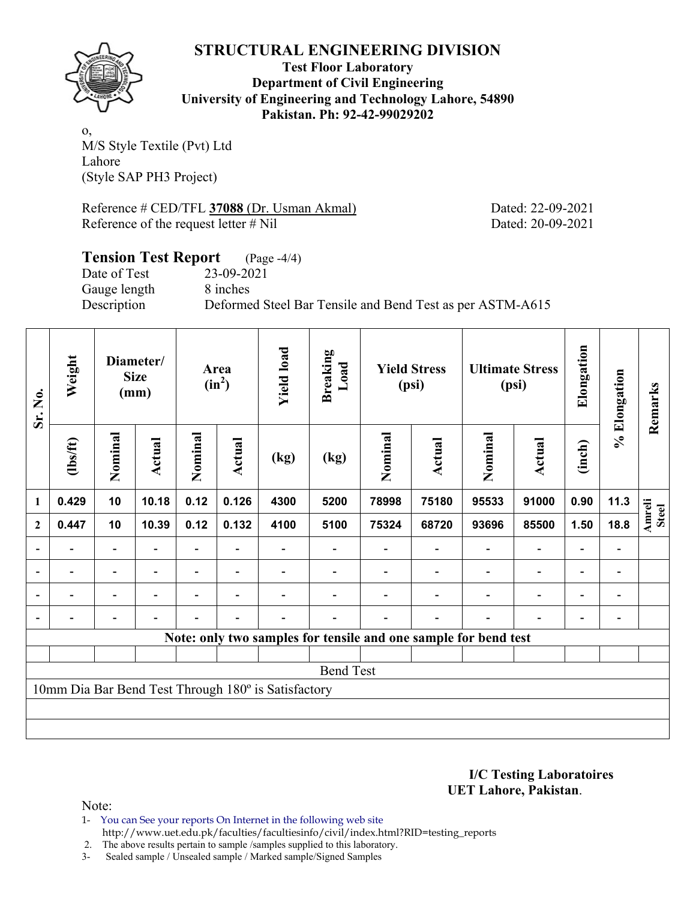

**Test Floor Laboratory Department of Civil Engineering University of Engineering and Technology Lahore, 54890 Pakistan. Ph: 92-42-99029202** 

o, M/S Style Textile (Pvt) Ltd Lahore (Style SAP PH3 Project)

Reference # CED/TFL **37088** (Dr. Usman Akmal) Dated: 22-09-2021 Reference of the request letter # Nil Dated: 20-09-2021

## **Tension Test Report** (Page -4/4) Date of Test 23-09-2021 Gauge length 8 inches Description Deformed Steel Bar Tensile and Bend Test as per ASTM-A615

| Sr. No.        | Weight                   |                          | Diameter/<br><b>Size</b><br>(mm) |                          | Area<br>$(in^2)$         | <b>Yield load</b>                                   | <b>Breaking</b><br>Load |         | <b>Yield Stress</b><br>(psi)                                    |                          | <b>Ultimate Stress</b><br>(psi) | Elongation               | % Elongation                 | Remarks                       |
|----------------|--------------------------|--------------------------|----------------------------------|--------------------------|--------------------------|-----------------------------------------------------|-------------------------|---------|-----------------------------------------------------------------|--------------------------|---------------------------------|--------------------------|------------------------------|-------------------------------|
|                | (1bs/ft)                 | Nominal                  | Actual                           | Nominal                  | <b>Actual</b>            | (kg)                                                | (kg)                    | Nominal | Actual                                                          | Nominal                  | <b>Actual</b>                   | (inch)                   |                              |                               |
| 1              | 0.429                    | 10                       | 10.18                            | 0.12                     | 0.126                    | 4300                                                | 5200                    | 78998   | 75180                                                           | 95533                    | 91000                           | 0.90                     | 11.3                         |                               |
| $\mathbf{2}$   | 0.447                    | 10                       | 10.39                            | 0.12                     | 0.132                    | 4100                                                | 5100                    | 75324   | 68720                                                           | 93696                    | 85500                           | 1.50                     | 18.8                         | <b>Amreli</b><br><b>Steel</b> |
| $\overline{a}$ |                          | Ξ.                       |                                  |                          |                          |                                                     |                         |         |                                                                 |                          | $\overline{\phantom{a}}$        | $\overline{\phantom{0}}$ |                              |                               |
|                | $\overline{\phantom{0}}$ | $\blacksquare$           | $\blacksquare$                   |                          | $\overline{\phantom{0}}$ |                                                     |                         |         |                                                                 | $\overline{\phantom{0}}$ | $\overline{a}$                  | $\overline{\phantom{a}}$ | $\qquad \qquad \blacksquare$ |                               |
| $\blacksquare$ | -                        | Ξ.                       | $\blacksquare$                   | $\overline{\phantom{0}}$ | $\overline{\phantom{0}}$ |                                                     |                         |         |                                                                 | $\blacksquare$           | $\overline{\phantom{0}}$        | $\overline{\phantom{0}}$ | $\qquad \qquad \blacksquare$ |                               |
|                |                          | $\overline{\phantom{0}}$ |                                  |                          |                          |                                                     |                         |         |                                                                 |                          | $\overline{\phantom{0}}$        | $\overline{\phantom{0}}$ |                              |                               |
|                |                          |                          |                                  |                          |                          |                                                     |                         |         | Note: only two samples for tensile and one sample for bend test |                          |                                 |                          |                              |                               |
|                |                          |                          |                                  |                          |                          |                                                     |                         |         |                                                                 |                          |                                 |                          |                              |                               |
|                |                          |                          |                                  |                          |                          |                                                     | <b>Bend Test</b>        |         |                                                                 |                          |                                 |                          |                              |                               |
|                |                          |                          |                                  |                          |                          | 10mm Dia Bar Bend Test Through 180° is Satisfactory |                         |         |                                                                 |                          |                                 |                          |                              |                               |
|                |                          |                          |                                  |                          |                          |                                                     |                         |         |                                                                 |                          |                                 |                          |                              |                               |
|                |                          |                          |                                  |                          |                          |                                                     |                         |         |                                                                 |                          |                                 |                          |                              |                               |

**I/C Testing Laboratoires UET Lahore, Pakistan**.

- 1- You can See your reports On Internet in the following web site http://www.uet.edu.pk/faculties/facultiesinfo/civil/index.html?RID=testing\_reports
- 2. The above results pertain to sample /samples supplied to this laboratory.
- 3- Sealed sample / Unsealed sample / Marked sample/Signed Samples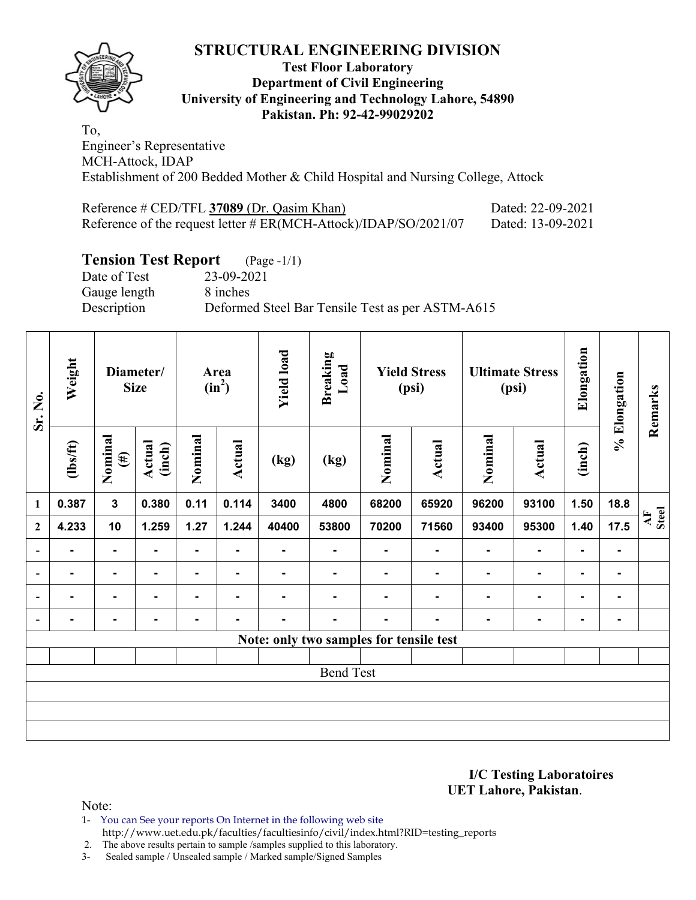

#### **Test Floor Laboratory Department of Civil Engineering University of Engineering and Technology Lahore, 54890 Pakistan. Ph: 92-42-99029202**

To, Engineer's Representative MCH-Attock, IDAP Establishment of 200 Bedded Mother & Child Hospital and Nursing College, Attock

| Reference # CED/TFL 37089 (Dr. Qasim Khan)                       | Dated: 22-09-2021 |
|------------------------------------------------------------------|-------------------|
| Reference of the request letter # ER(MCH-Attock)/IDAP/SO/2021/07 | Dated: 13-09-2021 |

#### **Tension Test Report** (Page -1/1)

Date of Test 23-09-2021 Gauge length 8 inches Description Deformed Steel Bar Tensile Test as per ASTM-A615

| Sr. No.                  | Weight         |                   | Diameter/<br><b>Size</b> |         | Area<br>$(in^2)$ | <b>Yield load</b> | <b>Breaking</b><br>Load                 |         | <b>Yield Stress</b><br>(psi) |         | <b>Ultimate Stress</b><br>(psi) | Elongation     | % Elongation   | Remarks     |
|--------------------------|----------------|-------------------|--------------------------|---------|------------------|-------------------|-----------------------------------------|---------|------------------------------|---------|---------------------------------|----------------|----------------|-------------|
|                          | $\frac{2}{10}$ | Nominal<br>$(\#)$ | Actual<br>(inch)         | Nominal | <b>Actual</b>    | (kg)              | (kg)                                    | Nominal | <b>Actual</b>                | Nominal | <b>Actual</b>                   | (inch)         |                |             |
| 1                        | 0.387          | $\mathbf{3}$      | 0.380                    | 0.11    | 0.114            | 3400              | 4800                                    | 68200   | 65920                        | 96200   | 93100                           | 1.50           | 18.8           |             |
| $\boldsymbol{2}$         | 4.233          | 10                | 1.259                    | 1.27    | 1.244            | 40400             | 53800                                   | 70200   | 71560                        | 93400   | 95300                           | 1.40           | 17.5           | AF<br>Steel |
| $\overline{\phantom{a}}$ | $\blacksquare$ | $\blacksquare$    | $\blacksquare$           | Ξ.      | ٠                | ۰                 | Ξ.                                      |         | $\blacksquare$               | ٠       | $\blacksquare$                  | $\blacksquare$ | ۰              |             |
| $\overline{\phantom{a}}$ | ۰              | $\blacksquare$    | $\blacksquare$           | ۰       | $\blacksquare$   | ۰                 | $\blacksquare$                          |         | $\blacksquare$               | ۰       | $\blacksquare$                  | $\blacksquare$ | $\blacksquare$ |             |
| $\overline{a}$           |                | ۰                 |                          |         |                  |                   |                                         |         |                              | ۰       | $\blacksquare$                  | ۰              | ۰              |             |
| $\overline{\phantom{a}}$ | ۰              | ۰                 |                          |         |                  |                   |                                         |         |                              |         | $\blacksquare$                  | $\blacksquare$ | ۰              |             |
|                          |                |                   |                          |         |                  |                   | Note: only two samples for tensile test |         |                              |         |                                 |                |                |             |
|                          |                |                   |                          |         |                  |                   |                                         |         |                              |         |                                 |                |                |             |
|                          |                |                   |                          |         |                  |                   | <b>Bend Test</b>                        |         |                              |         |                                 |                |                |             |
|                          |                |                   |                          |         |                  |                   |                                         |         |                              |         |                                 |                |                |             |
|                          |                |                   |                          |         |                  |                   |                                         |         |                              |         |                                 |                |                |             |
|                          |                |                   |                          |         |                  |                   |                                         |         |                              |         |                                 |                |                |             |

**I/C Testing Laboratoires UET Lahore, Pakistan**.

Note:

1- You can See your reports On Internet in the following web site http://www.uet.edu.pk/faculties/facultiesinfo/civil/index.html?RID=testing\_reports

2. The above results pertain to sample /samples supplied to this laboratory.